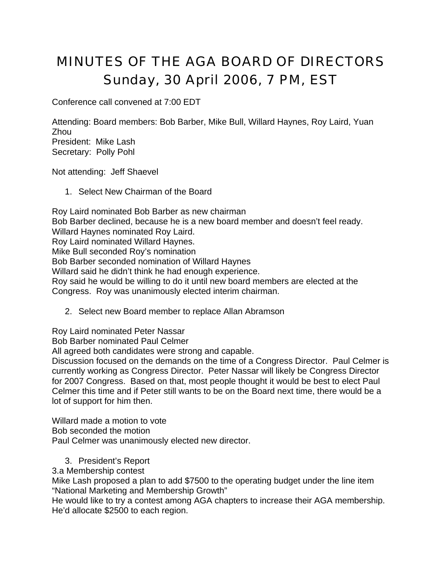## MINUTES OF THE AGA BOARD OF DIRECTORS Sunday, 30 April 2006, 7 PM, EST

Conference call convened at 7:00 EDT

Attending: Board members: Bob Barber, Mike Bull, Willard Haynes, Roy Laird, Yuan Zhou President: Mike Lash Secretary: Polly Pohl

Not attending: Jeff Shaevel

1. Select New Chairman of the Board

Roy Laird nominated Bob Barber as new chairman Bob Barber declined, because he is a new board member and doesn't feel ready. Willard Haynes nominated Roy Laird. Roy Laird nominated Willard Haynes. Mike Bull seconded Roy's nomination Bob Barber seconded nomination of Willard Haynes Willard said he didn't think he had enough experience. Roy said he would be willing to do it until new board members are elected at the Congress. Roy was unanimously elected interim chairman.

2. Select new Board member to replace Allan Abramson

Roy Laird nominated Peter Nassar

Bob Barber nominated Paul Celmer

All agreed both candidates were strong and capable.

Discussion focused on the demands on the time of a Congress Director. Paul Celmer is currently working as Congress Director. Peter Nassar will likely be Congress Director for 2007 Congress. Based on that, most people thought it would be best to elect Paul Celmer this time and if Peter still wants to be on the Board next time, there would be a lot of support for him then.

Willard made a motion to vote Bob seconded the motion

Paul Celmer was unanimously elected new director.

3. President's Report

3.a Membership contest

Mike Lash proposed a plan to add \$7500 to the operating budget under the line item "National Marketing and Membership Growth"

He would like to try a contest among AGA chapters to increase their AGA membership. He'd allocate \$2500 to each region.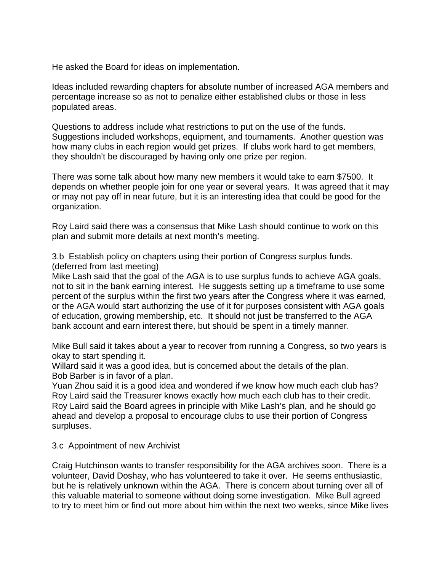He asked the Board for ideas on implementation.

Ideas included rewarding chapters for absolute number of increased AGA members and percentage increase so as not to penalize either established clubs or those in less populated areas.

Questions to address include what restrictions to put on the use of the funds. Suggestions included workshops, equipment, and tournaments. Another question was how many clubs in each region would get prizes. If clubs work hard to get members, they shouldn't be discouraged by having only one prize per region.

There was some talk about how many new members it would take to earn \$7500. It depends on whether people join for one year or several years. It was agreed that it may or may not pay off in near future, but it is an interesting idea that could be good for the organization.

Roy Laird said there was a consensus that Mike Lash should continue to work on this plan and submit more details at next month's meeting.

3.b Establish policy on chapters using their portion of Congress surplus funds. (deferred from last meeting)

Mike Lash said that the goal of the AGA is to use surplus funds to achieve AGA goals, not to sit in the bank earning interest. He suggests setting up a timeframe to use some percent of the surplus within the first two years after the Congress where it was earned, or the AGA would start authorizing the use of it for purposes consistent with AGA goals of education, growing membership, etc. It should not just be transferred to the AGA bank account and earn interest there, but should be spent in a timely manner.

Mike Bull said it takes about a year to recover from running a Congress, so two years is okay to start spending it.

Willard said it was a good idea, but is concerned about the details of the plan. Bob Barber is in favor of a plan.

Yuan Zhou said it is a good idea and wondered if we know how much each club has? Roy Laird said the Treasurer knows exactly how much each club has to their credit. Roy Laird said the Board agrees in principle with Mike Lash's plan, and he should go ahead and develop a proposal to encourage clubs to use their portion of Congress surpluses.

## 3.c Appointment of new Archivist

Craig Hutchinson wants to transfer responsibility for the AGA archives soon. There is a volunteer, David Doshay, who has volunteered to take it over. He seems enthusiastic, but he is relatively unknown within the AGA. There is concern about turning over all of this valuable material to someone without doing some investigation. Mike Bull agreed to try to meet him or find out more about him within the next two weeks, since Mike lives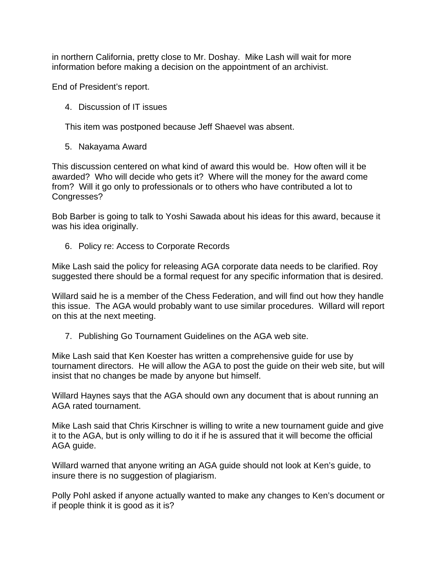in northern California, pretty close to Mr. Doshay. Mike Lash will wait for more information before making a decision on the appointment of an archivist.

End of President's report.

4. Discussion of IT issues

This item was postponed because Jeff Shaevel was absent.

5. Nakayama Award

This discussion centered on what kind of award this would be. How often will it be awarded? Who will decide who gets it? Where will the money for the award come from? Will it go only to professionals or to others who have contributed a lot to Congresses?

Bob Barber is going to talk to Yoshi Sawada about his ideas for this award, because it was his idea originally.

6. Policy re: Access to Corporate Records

Mike Lash said the policy for releasing AGA corporate data needs to be clarified. Roy suggested there should be a formal request for any specific information that is desired.

Willard said he is a member of the Chess Federation, and will find out how they handle this issue. The AGA would probably want to use similar procedures. Willard will report on this at the next meeting.

7. Publishing Go Tournament Guidelines on the AGA web site.

Mike Lash said that Ken Koester has written a comprehensive guide for use by tournament directors. He will allow the AGA to post the guide on their web site, but will insist that no changes be made by anyone but himself.

Willard Haynes says that the AGA should own any document that is about running an AGA rated tournament.

Mike Lash said that Chris Kirschner is willing to write a new tournament guide and give it to the AGA, but is only willing to do it if he is assured that it will become the official AGA guide.

Willard warned that anyone writing an AGA guide should not look at Ken's guide, to insure there is no suggestion of plagiarism.

Polly Pohl asked if anyone actually wanted to make any changes to Ken's document or if people think it is good as it is?